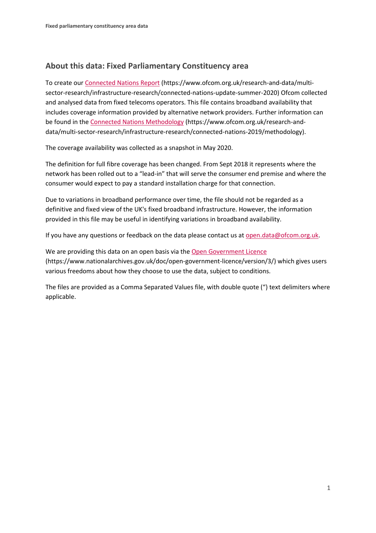## **About this data: Fixed Parliamentary Constituency area**

To create ou[r Connected Nations Report](https://www.ofcom.org.uk/research-and-data/multi-sector-research/infrastructure-research/connected-nations-update-summer-2020) (https://www.ofcom.org.uk/research-and-data/multisector-research/infrastructure-research/connected-nations-update-summer-2020) Ofcom collected and analysed data from fixed telecoms operators. This file contains broadband availability that includes coverage information provided by alternative network providers. Further information can be found in the [Connected Nations Methodology](https://www.ofcom.org.uk/research-and-data/multi-sector-research/infrastructure-research/connected-nations-2019/methodology) (https://www.ofcom.org.uk/research-anddata/multi-sector-research/infrastructure-research/connected-nations-2019/methodology).

The coverage availability was collected as a snapshot in May 2020.

The definition for full fibre coverage has been changed. From Sept 2018 it represents where the network has been rolled out to a "lead-in" that will serve the consumer end premise and where the consumer would expect to pay a standard installation charge for that connection.

Due to variations in broadband performance over time, the file should not be regarded as a definitive and fixed view of the UK's fixed broadband infrastructure. However, the information provided in this file may be useful in identifying variations in broadband availability.

If you have any questions or feedback on the data please contact us at [open.data@ofcom.org.uk.](mailto:open.data@ofcom.org.uk)

We are providing this data on an open basis via the [Open Government Licence](https://www.nationalarchives.gov.uk/doc/open-government-licence/version/3/) (https://www.nationalarchives.gov.uk/doc/open-government-licence/version/3/) which gives users various freedoms about how they choose to use the data, subject to conditions.

The files are provided as a Comma Separated Values file, with double quote (") text delimiters where applicable.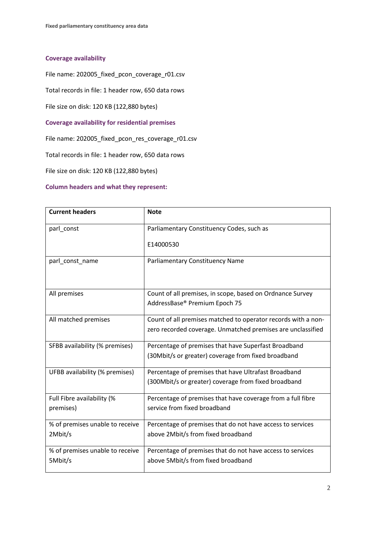## **Coverage availability**

File name: 202005\_fixed\_pcon\_coverage\_r01.csv

Total records in file: 1 header row, 650 data rows

File size on disk: 120 KB (122,880 bytes)

**Coverage availability for residential premises**

File name: 202005\_fixed\_pcon\_res\_coverage\_r01.csv

Total records in file: 1 header row, 650 data rows

File size on disk: 120 KB (122,880 bytes)

## **Column headers and what they represent:**

| <b>Current headers</b>                     | <b>Note</b>                                                                                                                  |
|--------------------------------------------|------------------------------------------------------------------------------------------------------------------------------|
| parl_const                                 | Parliamentary Constituency Codes, such as                                                                                    |
|                                            | E14000530                                                                                                                    |
| parl_const_name                            | Parliamentary Constituency Name                                                                                              |
| All premises                               | Count of all premises, in scope, based on Ordnance Survey<br>AddressBase® Premium Epoch 75                                   |
| All matched premises                       | Count of all premises matched to operator records with a non-<br>zero recorded coverage. Unmatched premises are unclassified |
| SFBB availability (% premises)             | Percentage of premises that have Superfast Broadband<br>(30Mbit/s or greater) coverage from fixed broadband                  |
| UFBB availability (% premises)             | Percentage of premises that have Ultrafast Broadband<br>(300Mbit/s or greater) coverage from fixed broadband                 |
| Full Fibre availability (%<br>premises)    | Percentage of premises that have coverage from a full fibre<br>service from fixed broadband                                  |
| % of premises unable to receive<br>2Mbit/s | Percentage of premises that do not have access to services<br>above 2Mbit/s from fixed broadband                             |
| % of premises unable to receive<br>5Mbit/s | Percentage of premises that do not have access to services<br>above 5Mbit/s from fixed broadband                             |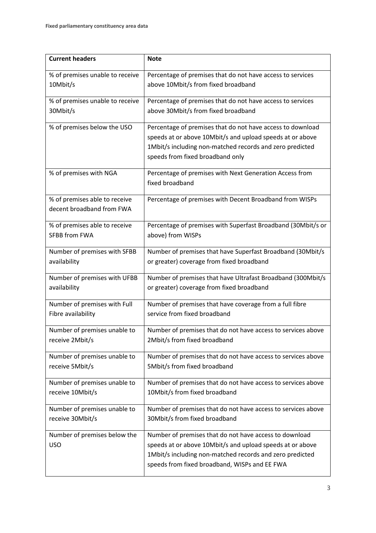| <b>Current headers</b>          | <b>Note</b>                                                  |
|---------------------------------|--------------------------------------------------------------|
| % of premises unable to receive | Percentage of premises that do not have access to services   |
| 10Mbit/s                        | above 10Mbit/s from fixed broadband                          |
| % of premises unable to receive | Percentage of premises that do not have access to services   |
| 30Mbit/s                        | above 30Mbit/s from fixed broadband                          |
| % of premises below the USO     | Percentage of premises that do not have access to download   |
|                                 | speeds at or above 10Mbit/s and upload speeds at or above    |
|                                 | 1Mbit/s including non-matched records and zero predicted     |
|                                 | speeds from fixed broadband only                             |
| % of premises with NGA          | Percentage of premises with Next Generation Access from      |
|                                 | fixed broadband                                              |
| % of premises able to receive   | Percentage of premises with Decent Broadband from WISPs      |
| decent broadband from FWA       |                                                              |
| % of premises able to receive   | Percentage of premises with Superfast Broadband (30Mbit/s or |
| <b>SFBB from FWA</b>            | above) from WISPs                                            |
| Number of premises with SFBB    | Number of premises that have Superfast Broadband (30Mbit/s   |
| availability                    | or greater) coverage from fixed broadband                    |
|                                 |                                                              |
| Number of premises with UFBB    | Number of premises that have Ultrafast Broadband (300Mbit/s  |
| availability                    | or greater) coverage from fixed broadband                    |
| Number of premises with Full    | Number of premises that have coverage from a full fibre      |
| Fibre availability              | service from fixed broadband                                 |
| Number of premises unable to    | Number of premises that do not have access to services above |
| receive 2Mbit/s                 | 2Mbit/s from fixed broadband                                 |
| Number of premises unable to    | Number of premises that do not have access to services above |
| receive 5Mbit/s                 | 5Mbit/s from fixed broadband                                 |
| Number of premises unable to    | Number of premises that do not have access to services above |
| receive 10Mbit/s                | 10Mbit/s from fixed broadband                                |
| Number of premises unable to    | Number of premises that do not have access to services above |
| receive 30Mbit/s                | 30Mbit/s from fixed broadband                                |
| Number of premises below the    | Number of premises that do not have access to download       |
| <b>USO</b>                      | speeds at or above 10Mbit/s and upload speeds at or above    |
|                                 | 1Mbit/s including non-matched records and zero predicted     |
|                                 | speeds from fixed broadband, WISPs and EE FWA                |
|                                 |                                                              |